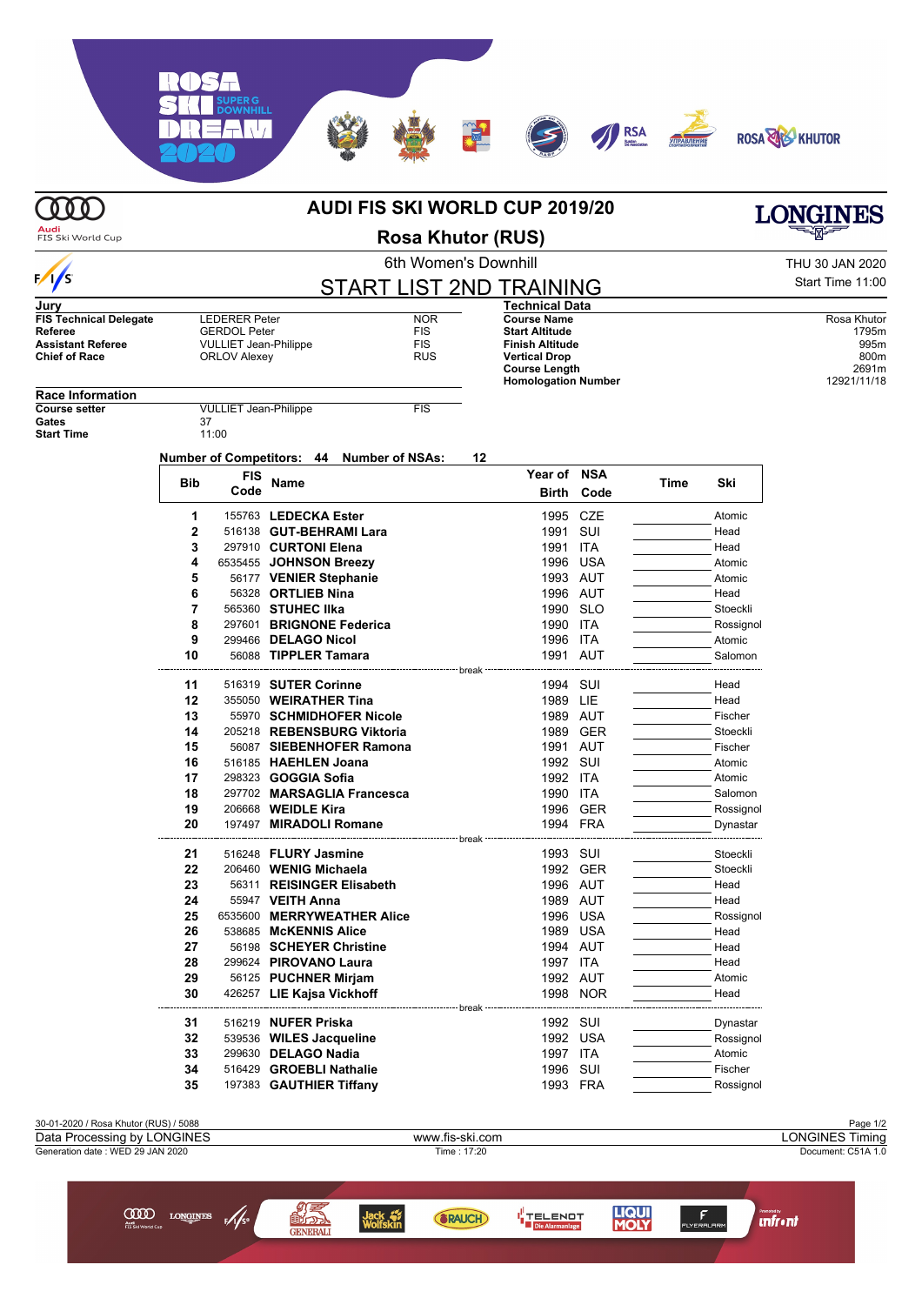## **AUDI FIS SKI WORLD CUP 2019/20**

**Audi**<br>FIS Ski World Cup

**OOO** 

6th Women's Downhill THU 30 JAN 2020

|                                                                                              | 6th Women's Downhill |                                                                                                    |                          |                                                      |                                |                                                                                                                                              |                   |      |           | THU 30 JAN 2020                                              |  |
|----------------------------------------------------------------------------------------------|----------------------|----------------------------------------------------------------------------------------------------|--------------------------|------------------------------------------------------|--------------------------------|----------------------------------------------------------------------------------------------------------------------------------------------|-------------------|------|-----------|--------------------------------------------------------------|--|
| $\frac{1}{s}$                                                                                |                      |                                                                                                    |                          |                                                      | <b>START LIST 2ND TRAINING</b> |                                                                                                                                              |                   |      |           | Start Time 11:00                                             |  |
| Jury                                                                                         |                      |                                                                                                    |                          |                                                      |                                | <b>Technical Data</b>                                                                                                                        |                   |      |           |                                                              |  |
| <b>FIS Technical Delegate</b><br>Referee<br><b>Assistant Referee</b><br><b>Chief of Race</b> |                      | <b>LEDERER Peter</b><br><b>GERDOL Peter</b><br><b>VULLIET Jean-Philippe</b><br><b>ORLOV Alexey</b> |                          | <b>NOR</b><br><b>FIS</b><br><b>FIS</b><br><b>RUS</b> |                                | <b>Course Name</b><br><b>Start Altitude</b><br>Finish Altitude<br><b>Vertical Drop</b><br><b>Course Length</b><br><b>Homologation Number</b> |                   |      |           | Rosa Khutor<br>1795m<br>995m<br>800m<br>2691m<br>12921/11/18 |  |
| <b>Race Information</b>                                                                      |                      |                                                                                                    |                          |                                                      |                                |                                                                                                                                              |                   |      |           |                                                              |  |
| <b>Course setter</b><br>Gates<br><b>Start Time</b>                                           |                      | <b>VULLIET Jean-Philippe</b><br>37<br>11:00                                                        |                          |                                                      | <b>FIS</b>                     |                                                                                                                                              |                   |      |           |                                                              |  |
|                                                                                              |                      | <b>FIS</b>                                                                                         |                          | Number of Competitors: 44 Number of NSAs:            | 12                             | Year of NSA                                                                                                                                  |                   |      |           |                                                              |  |
|                                                                                              | <b>Bib</b>           | Code                                                                                               | <b>Name</b>              |                                                      |                                |                                                                                                                                              | <b>Birth Code</b> | Time | Ski       |                                                              |  |
|                                                                                              | 1                    |                                                                                                    | 155763 LEDECKA Ester     |                                                      |                                |                                                                                                                                              | 1995 CZE          |      | Atomic    |                                                              |  |
|                                                                                              | $\mathbf{2}$         |                                                                                                    | 516138 GUT-BEHRAMI Lara  |                                                      |                                | 1991                                                                                                                                         | SUI               |      | Head      |                                                              |  |
|                                                                                              | 3                    |                                                                                                    | 297910 CURTONI Elena     |                                                      |                                | 1991 ITA                                                                                                                                     |                   |      | Head      |                                                              |  |
|                                                                                              | 4                    |                                                                                                    | 6535455 JOHNSON Breezy   |                                                      |                                |                                                                                                                                              | 1996 USA          |      | Atomic    |                                                              |  |
|                                                                                              | 5                    |                                                                                                    | 56177 VENIER Stephanie   |                                                      |                                |                                                                                                                                              | 1993 AUT          |      | Atomic    |                                                              |  |
|                                                                                              | 6                    |                                                                                                    | 56328 ORTLIEB Nina       |                                                      |                                |                                                                                                                                              | 1996 AUT          |      | Head      |                                                              |  |
|                                                                                              | 7                    |                                                                                                    | 565360 STUHEC IIka       |                                                      |                                |                                                                                                                                              | 1990 SLO          |      | Stoeckli  |                                                              |  |
|                                                                                              | 8                    |                                                                                                    | 297601 BRIGNONE Federica |                                                      |                                | 1990 ITA                                                                                                                                     |                   |      | Rossignol |                                                              |  |
|                                                                                              | 9                    |                                                                                                    | 299466 DELAGO Nicol      |                                                      |                                | 1996 ITA                                                                                                                                     |                   |      | Atomic    |                                                              |  |
|                                                                                              | 10                   |                                                                                                    | 56088 TIPPLER Tamara     |                                                      |                                |                                                                                                                                              | 1991 AUT          |      | Salomon   |                                                              |  |
|                                                                                              | 11                   |                                                                                                    | 516319 SUTER Corinne     |                                                      | - break                        | 1994 SUI                                                                                                                                     |                   |      | Head      |                                                              |  |
|                                                                                              | 12                   |                                                                                                    | 355050 WEIRATHER Tina    |                                                      |                                | 1989                                                                                                                                         | LIE               |      | Head      |                                                              |  |
|                                                                                              | 13                   |                                                                                                    |                          | 55970 SCHMIDHOFER Nicole                             |                                | 1989 AUT                                                                                                                                     |                   |      | Fischer   |                                                              |  |
|                                                                                              | 14                   |                                                                                                    |                          | 205218 REBENSBURG Viktoria                           |                                | 1989                                                                                                                                         | <b>GER</b>        |      | Stoeckli  |                                                              |  |
|                                                                                              | 15                   |                                                                                                    |                          | 56087 SIEBENHOFER Ramona                             |                                | 1991                                                                                                                                         | AUT               |      | Fischer   |                                                              |  |
|                                                                                              | 16                   |                                                                                                    | 516185 HAEHLEN Joana     |                                                      |                                | 1992 SUI                                                                                                                                     |                   |      | Atomic    |                                                              |  |
|                                                                                              | 17                   |                                                                                                    | 298323 GOGGIA Sofia      |                                                      |                                | 1992 ITA                                                                                                                                     |                   |      | Atomic    |                                                              |  |
|                                                                                              | 18                   |                                                                                                    |                          | 297702 MARSAGLIA Francesca                           |                                | 1990 ITA                                                                                                                                     |                   |      | Salomon   |                                                              |  |
|                                                                                              | 19                   |                                                                                                    | 206668 WEIDLE Kira       |                                                      |                                |                                                                                                                                              | 1996 GER          |      | Rossignol |                                                              |  |
|                                                                                              | 20                   |                                                                                                    | 197497 MIRADOLI Romane   |                                                      |                                |                                                                                                                                              | 1994 FRA          |      | Dynastar  |                                                              |  |
|                                                                                              |                      |                                                                                                    |                          |                                                      |                                |                                                                                                                                              |                   |      |           |                                                              |  |

**21** 516248 **FLURY Jasmine** 1993 SUI Stoeckli **22** 206460 **WENIG Michaela** 1992 GER Stoeckli **23** 56311 **REISINGER Elisabeth** 1996 AUT **Head 24** 55947 **VEITH Anna 1989 AUT CONSISTENT AND THEAD READ READ ROSE OF ALCORATION CONSISTENT AND READ ROSE 25** 6535600 **MERRYWEATHER Alice** 1996 USA **Rossignol** Rossignol 26 538685 McKENNIS Alice 1996 1989 USA **268685 McKENNIS Alice** 1989 USA **Head** Head **27** 56198 **SCHEYER Christine 1994 AUT CONSIDENT CONSIDER THEAD CONSIDER SCHEYER Christine 1997** ITA **CONSIDER THEAD Head 299624 PIROVANO Laura 1997 ITA** Head **29** 56125 **PUCHNER Mirjam** 1992 AUT **1992 AUT** Atomic 1992 AUT Atomic 1998 MOR 426257 LIE Kajsa Vickhoff break . . . . . **31** 516219 **NUFER Priska** 1992 SUI Dynastar **32 539536 WILES Jacqueline 1992 USA Rossignol 33 299630 DELAGO Nadia** 1997 ITA **Atomic** Atomic **34** 516429 **GROEBLI Nathalie** 1996 SUI **Fischer 1996 SUI Fischer 1996 SUI Fischer**<br>**35** 197383 **GAUTHIER Tiffanv** 1993 FRA Rossign 197383 **GAUTHIER Tiffany** 1993 FRA Rossignol





**LONGINES** 

RSA

**Rosa Khutor (RUS)**

 $\overline{\Gamma}$   $\overline{\Lambda}$   $\overline{\Lambda}$